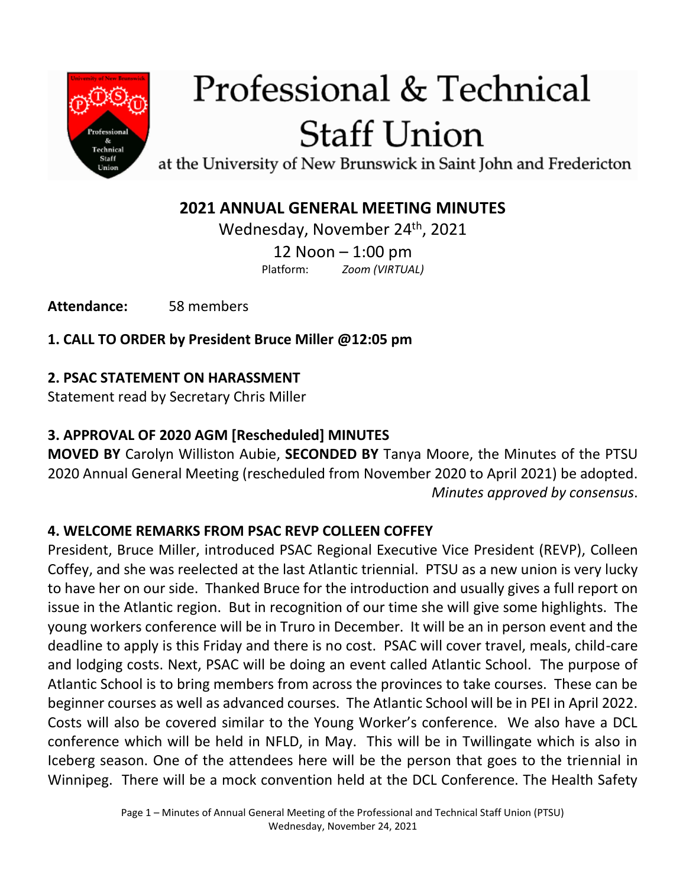

# Professional & Technical **Staff Union**

at the University of New Brunswick in Saint John and Fredericton

## **2021 ANNUAL GENERAL MEETING MINUTES**

Wednesday, November 24<sup>th</sup>, 2021 12 Noon – 1:00 pm Platform: *Zoom (VIRTUAL)*

**Attendance:** 58 members

**1. CALL TO ORDER by President Bruce Miller @12:05 pm**

## **2. PSAC STATEMENT ON HARASSMENT**

Statement read by Secretary Chris Miller

## **3. APPROVAL OF 2020 AGM [Rescheduled] MINUTES**

**MOVED BY** Carolyn Williston Aubie, **SECONDED BY** Tanya Moore, the Minutes of the PTSU 2020 Annual General Meeting (rescheduled from November 2020 to April 2021) be adopted. *Minutes approved by consensus*.

## **4. WELCOME REMARKS FROM PSAC REVP COLLEEN COFFEY**

President, Bruce Miller, introduced PSAC Regional Executive Vice President (REVP), Colleen Coffey, and she was reelected at the last Atlantic triennial. PTSU as a new union is very lucky to have her on our side. Thanked Bruce for the introduction and usually gives a full report on issue in the Atlantic region. But in recognition of our time she will give some highlights. The young workers conference will be in Truro in December. It will be an in person event and the deadline to apply is this Friday and there is no cost. PSAC will cover travel, meals, child-care and lodging costs. Next, PSAC will be doing an event called Atlantic School. The purpose of Atlantic School is to bring members from across the provinces to take courses. These can be beginner courses as well as advanced courses. The Atlantic School will be in PEI in April 2022. Costs will also be covered similar to the Young Worker's conference. We also have a DCL conference which will be held in NFLD, in May. This will be in Twillingate which is also in Iceberg season. One of the attendees here will be the person that goes to the triennial in Winnipeg. There will be a mock convention held at the DCL Conference. The Health Safety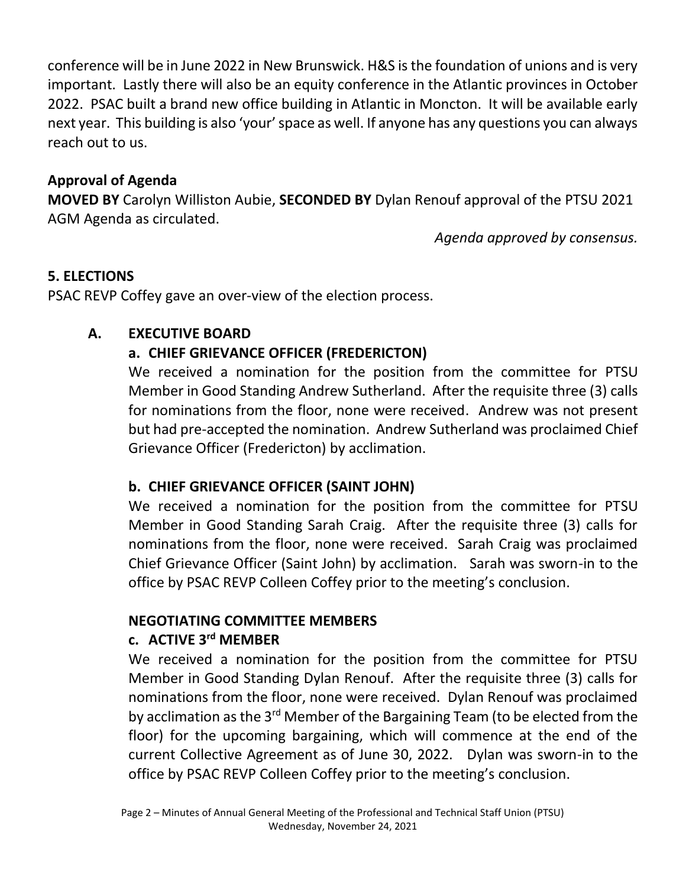conference will be in June 2022 in New Brunswick. H&S is the foundation of unions and is very important. Lastly there will also be an equity conference in the Atlantic provinces in October 2022. PSAC built a brand new office building in Atlantic in Moncton. It will be available early next year. This building is also 'your' space as well. If anyone has any questions you can always reach out to us.

#### **Approval of Agenda**

**MOVED BY** Carolyn Williston Aubie, **SECONDED BY** Dylan Renouf approval of the PTSU 2021 AGM Agenda as circulated.

*Agenda approved by consensus.*

#### **5. ELECTIONS**

PSAC REVP Coffey gave an over-view of the election process.

#### **A. EXECUTIVE BOARD**

#### **a. CHIEF GRIEVANCE OFFICER (FREDERICTON)**

We received a nomination for the position from the committee for PTSU Member in Good Standing Andrew Sutherland. After the requisite three (3) calls for nominations from the floor, none were received. Andrew was not present but had pre-accepted the nomination. Andrew Sutherland was proclaimed Chief Grievance Officer (Fredericton) by acclimation.

#### **b. CHIEF GRIEVANCE OFFICER (SAINT JOHN)**

We received a nomination for the position from the committee for PTSU Member in Good Standing Sarah Craig. After the requisite three (3) calls for nominations from the floor, none were received. Sarah Craig was proclaimed Chief Grievance Officer (Saint John) by acclimation. Sarah was sworn-in to the office by PSAC REVP Colleen Coffey prior to the meeting's conclusion.

## **NEGOTIATING COMMITTEE MEMBERS**

#### **c. ACTIVE 3rd MEMBER**

We received a nomination for the position from the committee for PTSU Member in Good Standing Dylan Renouf. After the requisite three (3) calls for nominations from the floor, none were received. Dylan Renouf was proclaimed by acclimation as the 3<sup>rd</sup> Member of the Bargaining Team (to be elected from the floor) for the upcoming bargaining, which will commence at the end of the current Collective Agreement as of June 30, 2022. Dylan was sworn-in to the office by PSAC REVP Colleen Coffey prior to the meeting's conclusion.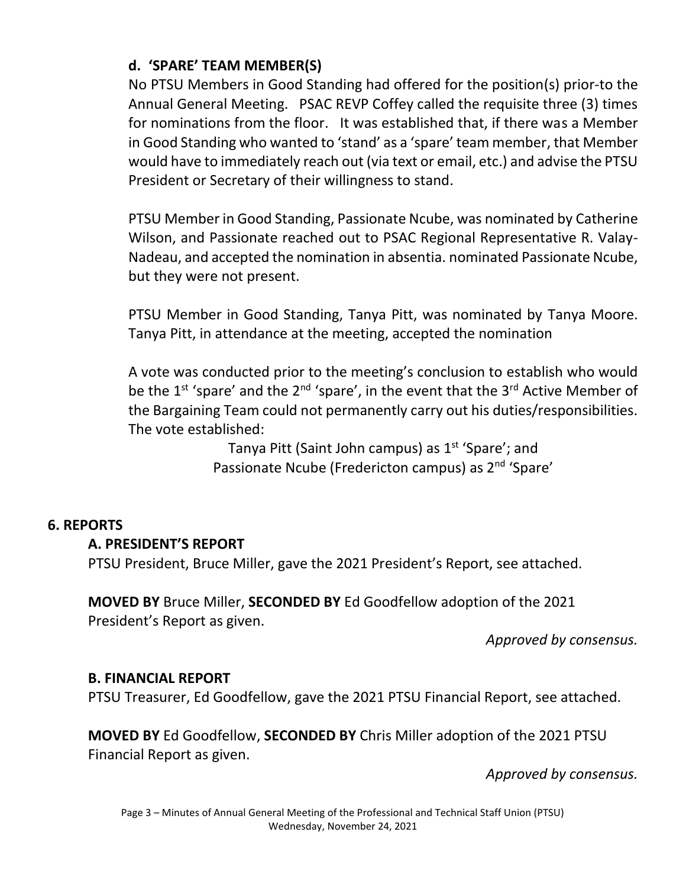#### **d. 'SPARE' TEAM MEMBER(S)**

No PTSU Members in Good Standing had offered for the position(s) prior-to the Annual General Meeting. PSAC REVP Coffey called the requisite three (3) times for nominations from the floor. It was established that, if there was a Member in Good Standing who wanted to 'stand' as a 'spare' team member, that Member would have to immediately reach out (via text or email, etc.) and advise the PTSU President or Secretary of their willingness to stand.

PTSU Member in Good Standing, Passionate Ncube, was nominated by Catherine Wilson, and Passionate reached out to PSAC Regional Representative R. Valay-Nadeau, and accepted the nomination in absentia. nominated Passionate Ncube, but they were not present.

PTSU Member in Good Standing, Tanya Pitt, was nominated by Tanya Moore. Tanya Pitt, in attendance at the meeting, accepted the nomination

A vote was conducted prior to the meeting's conclusion to establish who would be the  $1^{st}$  'spare' and the  $2^{nd}$  'spare', in the event that the  $3^{rd}$  Active Member of the Bargaining Team could not permanently carry out his duties/responsibilities. The vote established:

> Tanya Pitt (Saint John campus) as  $1<sup>st</sup>$  'Spare'; and Passionate Ncube (Fredericton campus) as 2nd 'Spare'

#### **6. REPORTS**

#### **A. PRESIDENT'S REPORT**

PTSU President, Bruce Miller, gave the 2021 President's Report, see attached.

**MOVED BY** Bruce Miller, **SECONDED BY** Ed Goodfellow adoption of the 2021 President's Report as given.

*Approved by consensus.*

#### **B. FINANCIAL REPORT**

PTSU Treasurer, Ed Goodfellow, gave the 2021 PTSU Financial Report, see attached.

**MOVED BY** Ed Goodfellow, **SECONDED BY** Chris Miller adoption of the 2021 PTSU Financial Report as given.

*Approved by consensus.*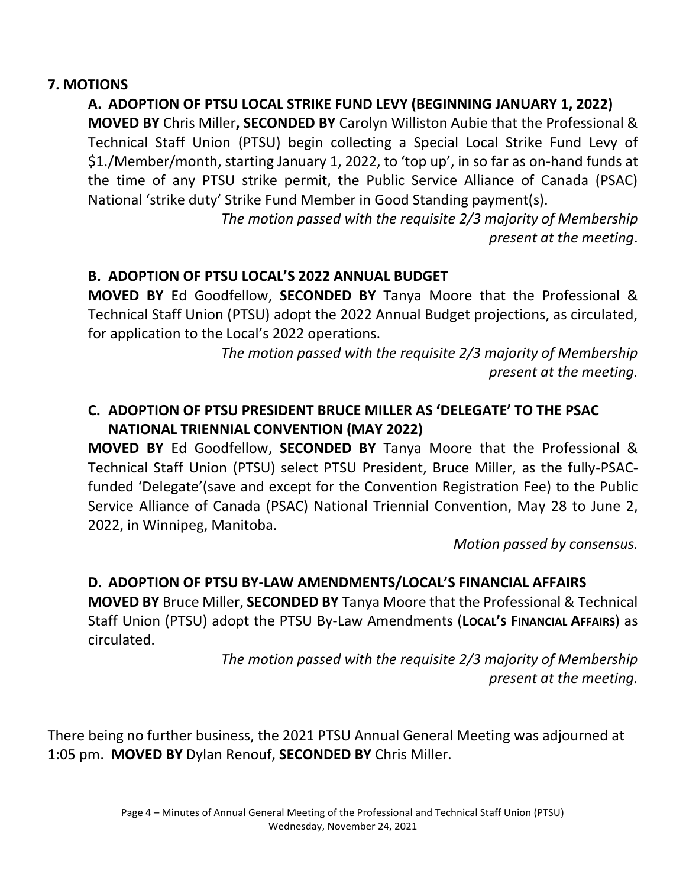#### **7. MOTIONS**

## **A. ADOPTION OF PTSU LOCAL STRIKE FUND LEVY (BEGINNING JANUARY 1, 2022)**

**MOVED BY** Chris Miller**, SECONDED BY** Carolyn Williston Aubie that the Professional & Technical Staff Union (PTSU) begin collecting a Special Local Strike Fund Levy of \$1./Member/month, starting January 1, 2022, to 'top up', in so far as on-hand funds at the time of any PTSU strike permit, the Public Service Alliance of Canada (PSAC) National 'strike duty' Strike Fund Member in Good Standing payment(s).

> *The motion passed with the requisite 2/3 majority of Membership present at the meeting*.

### **B. ADOPTION OF PTSU LOCAL'S 2022 ANNUAL BUDGET**

**MOVED BY** Ed Goodfellow, **SECONDED BY** Tanya Moore that the Professional & Technical Staff Union (PTSU) adopt the 2022 Annual Budget projections, as circulated, for application to the Local's 2022 operations.

> *The motion passed with the requisite 2/3 majority of Membership present at the meeting.*

### **C. ADOPTION OF PTSU PRESIDENT BRUCE MILLER AS 'DELEGATE' TO THE PSAC NATIONAL TRIENNIAL CONVENTION (MAY 2022)**

**MOVED BY** Ed Goodfellow, **SECONDED BY** Tanya Moore that the Professional & Technical Staff Union (PTSU) select PTSU President, Bruce Miller, as the fully-PSACfunded 'Delegate'(save and except for the Convention Registration Fee) to the Public Service Alliance of Canada (PSAC) National Triennial Convention, May 28 to June 2, 2022, in Winnipeg, Manitoba.

*Motion passed by consensus.*

## **D. ADOPTION OF PTSU BY-LAW AMENDMENTS/LOCAL'S FINANCIAL AFFAIRS**

**MOVED BY** Bruce Miller, **SECONDED BY** Tanya Moore that the Professional & Technical Staff Union (PTSU) adopt the PTSU By-Law Amendments (**LOCAL'S FINANCIAL AFFAIRS**) as circulated.

> *The motion passed with the requisite 2/3 majority of Membership present at the meeting.*

There being no further business, the 2021 PTSU Annual General Meeting was adjourned at 1:05 pm. **MOVED BY** Dylan Renouf, **SECONDED BY** Chris Miller.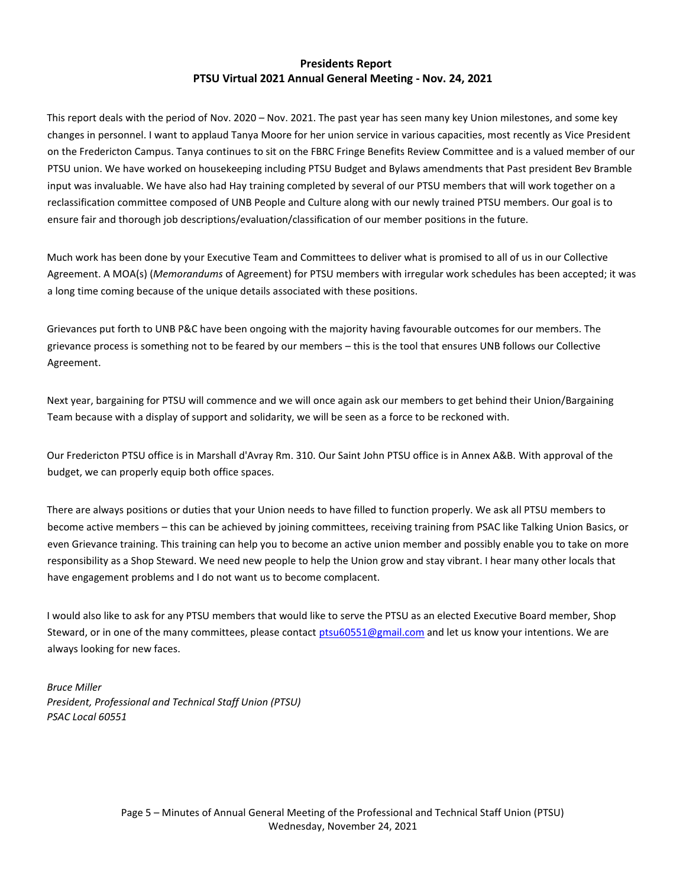#### **Presidents Report PTSU Virtual 2021 Annual General Meeting - Nov. 24, 2021**

This report deals with the period of Nov. 2020 – Nov. 2021. The past year has seen many key Union milestones, and some key changes in personnel. I want to applaud Tanya Moore for her union service in various capacities, most recently as Vice President on the Fredericton Campus. Tanya continues to sit on the FBRC Fringe Benefits Review Committee and is a valued member of our PTSU union. We have worked on housekeeping including PTSU Budget and Bylaws amendments that Past president Bev Bramble input was invaluable. We have also had Hay training completed by several of our PTSU members that will work together on a reclassification committee composed of UNB People and Culture along with our newly trained PTSU members. Our goal is to ensure fair and thorough job descriptions/evaluation/classification of our member positions in the future.

Much work has been done by your Executive Team and Committees to deliver what is promised to all of us in our Collective Agreement. A MOA(s) (*Memorandums* of Agreement) for PTSU members with irregular work schedules has been accepted; it was a long time coming because of the unique details associated with these positions.

Grievances put forth to UNB P&C have been ongoing with the majority having favourable outcomes for our members. The grievance process is something not to be feared by our members – this is the tool that ensures UNB follows our Collective Agreement.

Next year, bargaining for PTSU will commence and we will once again ask our members to get behind their Union/Bargaining Team because with a display of support and solidarity, we will be seen as a force to be reckoned with.

Our Fredericton PTSU office is in Marshall d'Avray Rm. 310. Our Saint John PTSU office is in Annex A&B. With approval of the budget, we can properly equip both office spaces.

There are always positions or duties that your Union needs to have filled to function properly. We ask all PTSU members to become active members – this can be achieved by joining committees, receiving training from PSAC like Talking Union Basics, or even Grievance training. This training can help you to become an active union member and possibly enable you to take on more responsibility as a Shop Steward. We need new people to help the Union grow and stay vibrant. I hear many other locals that have engagement problems and I do not want us to become complacent.

I would also like to ask for any PTSU members that would like to serve the PTSU as an elected Executive Board member, Shop Steward, or in one of the many committees, please contact [ptsu60551@gmail.com](mailto:ptsu60551@gmail.com) and let us know your intentions. We are always looking for new faces.

*Bruce Miller President, Professional and Technical Staff Union (PTSU) PSAC Local 60551*